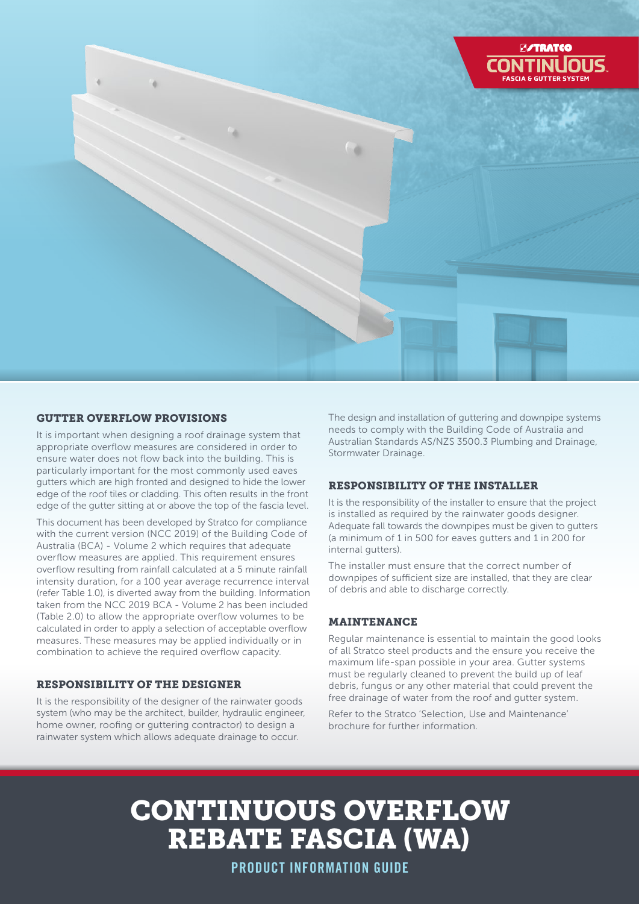

## GUTTER OVERFLOW PROVISIONS

It is important when designing a roof drainage system that appropriate overflow measures are considered in order to ensure water does not flow back into the building. This is particularly important for the most commonly used eaves gutters which are high fronted and designed to hide the lower edge of the roof tiles or cladding. This often results in the front edge of the gutter sitting at or above the top of the fascia level.

This document has been developed by Stratco for compliance with the current version (NCC 2019) of the Building Code of Australia (BCA) - Volume 2 which requires that adequate overflow measures are applied. This requirement ensures overflow resulting from rainfall calculated at a 5 minute rainfall intensity duration, for a 100 year average recurrence interval (refer Table 1.0), is diverted away from the building. Information taken from the NCC 2019 BCA - Volume 2 has been included (Table 2.0) to allow the appropriate overflow volumes to be calculated in order to apply a selection of acceptable overflow measures. These measures may be applied individually or in combination to achieve the required overflow capacity.

#### RESPONSIBILITY OF THE DESIGNER

It is the responsibility of the designer of the rainwater goods system (who may be the architect, builder, hydraulic engineer, home owner, roofing or guttering contractor) to design a rainwater system which allows adequate drainage to occur.

The design and installation of guttering and downpipe systems needs to comply with the Building Code of Australia and Australian Standards AS/NZS 3500.3 Plumbing and Drainage, Stormwater Drainage.

### RESPONSIBILITY OF THE INSTALLER

It is the responsibility of the installer to ensure that the project is installed as required by the rainwater goods designer. Adequate fall towards the downpipes must be given to gutters (a minimum of 1 in 500 for eaves gutters and 1 in 200 for internal gutters).

The installer must ensure that the correct number of downpipes of sufficient size are installed, that they are clear of debris and able to discharge correctly.

#### MAINTENANCE

Regular maintenance is essential to maintain the good looks of all Stratco steel products and the ensure you receive the maximum life-span possible in your area. Gutter systems must be regularly cleaned to prevent the build up of leaf debris, fungus or any other material that could prevent the free drainage of water from the roof and gutter system.

Refer to the Stratco 'Selection, Use and Maintenance' brochure for further information.

# CONTINUOUS OVERFLOW REBATE FASCIA (WA)

PRODUCT INFORMATION GUIDE